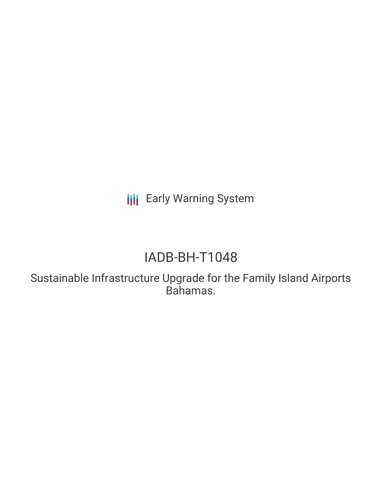**III** Early Warning System

# IADB-BH-T1048

Sustainable Infrastructure Upgrade for the Family Island Airports Bahamas.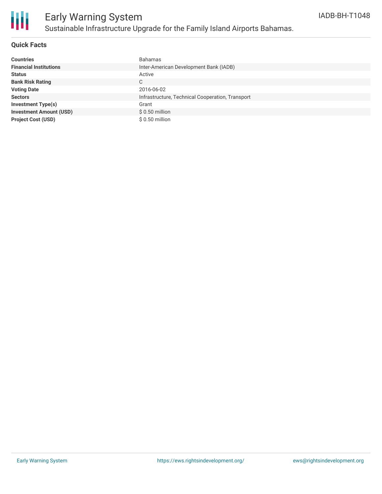

### **Quick Facts**

| <b>Countries</b>               | <b>Bahamas</b>                                   |
|--------------------------------|--------------------------------------------------|
| <b>Financial Institutions</b>  | Inter-American Development Bank (IADB)           |
| <b>Status</b>                  | Active                                           |
| <b>Bank Risk Rating</b>        | C.                                               |
| <b>Voting Date</b>             | 2016-06-02                                       |
| <b>Sectors</b>                 | Infrastructure, Technical Cooperation, Transport |
| <b>Investment Type(s)</b>      | Grant                                            |
| <b>Investment Amount (USD)</b> | $$0.50$ million                                  |
| <b>Project Cost (USD)</b>      | \$ 0.50 million                                  |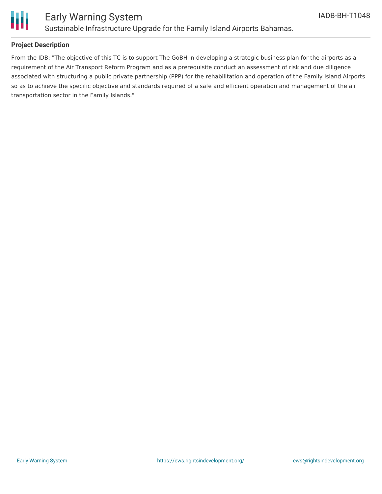

### Early Warning System Sustainable Infrastructure Upgrade for the Family Island Airports Bahamas.

### **Project Description**

From the IDB: "The objective of this TC is to support The GoBH in developing a strategic business plan for the airports as a requirement of the Air Transport Reform Program and as a prerequisite conduct an assessment of risk and due diligence associated with structuring a public private partnership (PPP) for the rehabilitation and operation of the Family Island Airports so as to achieve the specific objective and standards required of a safe and efficient operation and management of the air transportation sector in the Family Islands."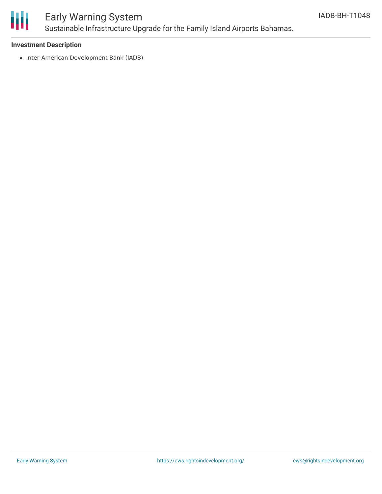

## Early Warning System Sustainable Infrastructure Upgrade for the Family Island Airports Bahamas.

### **Investment Description**

• Inter-American Development Bank (IADB)